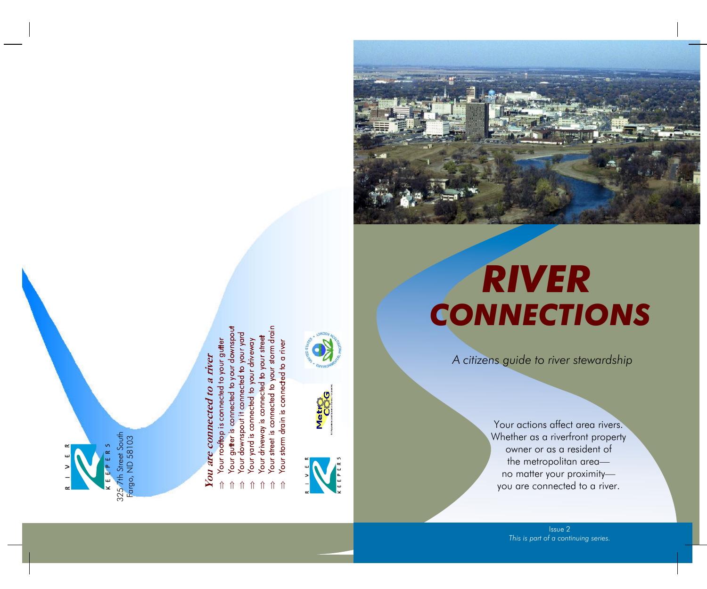

# You are connected to a river **You are connected to a river**

- o your gutter Your roottop is connected
- 
- 
- 
- 
- 
- Nour guiter is connected to your downsport<br>Your downspout it connected to your yord<br>Your yard is connected to your yord<br>Your yard is connected to your driveway<br>Your driveway is connected to your street<br>Your street is conne
- በ በ በ በ በ በ በ









*A citizens guide to river stewardship* 

Your actions affect area rivers. Whether as a riverfront property owner or as a resident of the metropolitan areano matter your proximityyou are connected to a river.

> Issue 2 *This is part of a continuing series.*